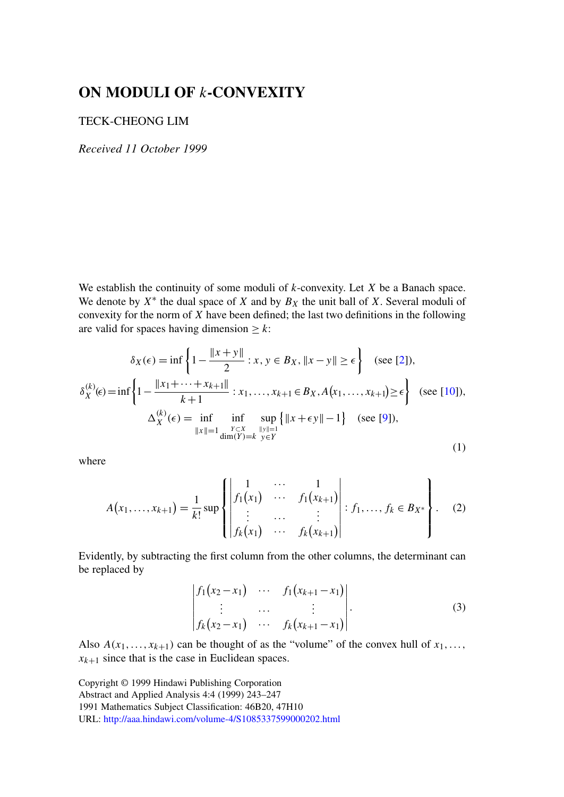# <span id="page-0-0"></span>**ON MODULI OF** k**-CONVEXITY**

# TECK-CHEONG LIM

*Received 11 October 1999*

We establish the continuity of some moduli of  $k$ -convexity. Let  $X$  be a Banach space. We denote by  $X^*$  the dual space of X and by  $B_X$  the unit ball of X. Several moduli of convexity for the norm of  $X$  have been defined; the last two definitions in the following are valid for spaces having dimension  $\geq k$ :

$$
\delta_X(\epsilon) = \inf \left\{ 1 - \frac{\|x + y\|}{2} : x, y \in B_X, \|x - y\| \ge \epsilon \right\} \quad \text{(see [2]),}
$$
\n
$$
\delta_X^{(k)}(\epsilon) = \inf \left\{ 1 - \frac{\|x_1 + \dots + x_{k+1}\|}{k+1} : x_1, \dots, x_{k+1} \in B_X, A(x_1, \dots, x_{k+1}) \ge \epsilon \right\} \quad \text{(see [10]),}
$$
\n
$$
\Delta_X^{(k)}(\epsilon) = \inf_{\|x\|=1} \inf_{\substack{Y \subset X \\ \dim(Y) = k}} \sup_{y \in Y} \left\{ \|x + \epsilon y\| - 1 \right\} \quad \text{(see [9]),}
$$
\n(1)

where

$$
A(x_1,...,x_{k+1}) = \frac{1}{k!} \sup \left\{ \begin{vmatrix} 1 & \cdots & 1 \\ f_1(x_1) & \cdots & f_1(x_{k+1}) \\ \vdots & \cdots & \vdots \\ f_k(x_1) & \cdots & f_k(x_{k+1}) \end{vmatrix} : f_1,..., f_k \in B_{X^*} \right\}.
$$
 (2)

Evidently, by subtracting the first column from the other columns, the determinant can be replaced by

$$
\begin{vmatrix} f_1(x_2 - x_1) & \cdots & f_1(x_{k+1} - x_1) \\ \vdots & \cdots & \vdots \\ f_k(x_2 - x_1) & \cdots & f_k(x_{k+1} - x_1) \end{vmatrix} . \tag{3}
$$

Also  $A(x_1,...,x_{k+1})$  can be thought of as the "volume" of the convex hull of  $x_1,...,$  $x_{k+1}$  since that is the case in Euclidean spaces.

Copyright © 1999 Hindawi Publishing Corporation Abstract and Applied Analysis 4:4 (1999) 243–247 1991 Mathematics Subject Classification: 46B20, 47H10 URL: <http://aaa.hindawi.com/volume-4/S1085337599000202.html>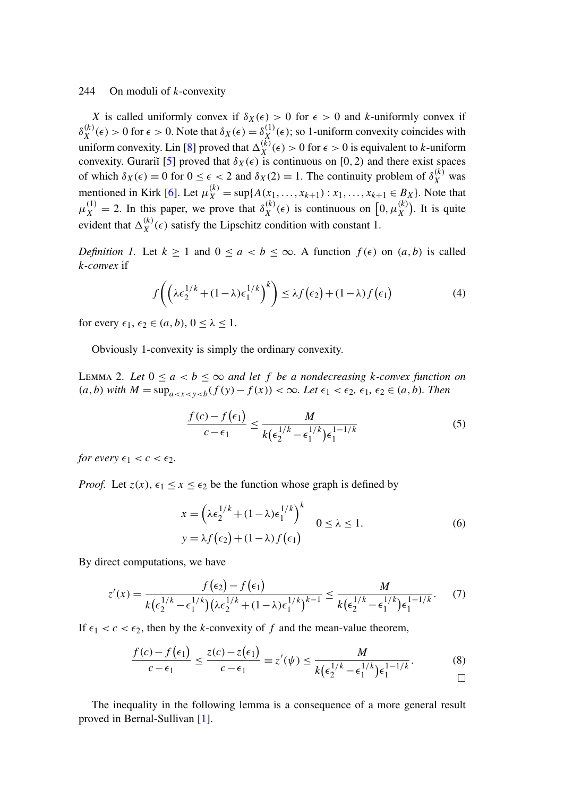## <span id="page-1-0"></span>244 On moduli of  $k$ -convexity

X is called uniformly convex if  $\delta_X(\epsilon) > 0$  for  $\epsilon > 0$  and k-uniformly convex if  $\delta_X^{(k)}(\epsilon) > 0$  for  $\epsilon > 0$ . Note that  $\delta_X(\epsilon) = \delta_X^{(1)}(\epsilon)$ ; so 1-uniform convexity coincides with uniform convexity. Lin [\[8\]](#page-4-0) proved that  $\Delta_X^{(k)}(\epsilon) > 0$  for  $\epsilon > 0$  is equivalent to k-uniform convexity. Gurariĭ [\[5\]](#page-4-0) proved that  $\delta_X(\epsilon)$  is continuous on [0, 2) and there exist spaces of which  $\delta_X(\epsilon) = 0$  for  $0 \le \epsilon < 2$  and  $\delta_X(2) = 1$ . The continuity problem of  $\delta_X^{(k)}$  was mentioned in Kirk [\[6\]](#page-4-0). Let  $\mu_X^{(k)} = \sup\{A(x_1, ..., x_{k+1}) : x_1, ..., x_{k+1} \in B_X\}$ . Note that  $\mu_X^{(1)} = 2$ . In this paper, we prove that  $\delta_X^{(k)}(\epsilon)$  is continuous on  $[0, \mu_X^{(k)})$ . It is quite evident that  $\Delta_X^{(k)}(\epsilon)$  satisfy the Lipschitz condition with constant 1.

*Definition 1.* Let  $k \ge 1$  and  $0 \le a < b \le \infty$ . A function  $f(\epsilon)$  on  $(a, b)$  is called k*-convex* if

$$
f\left(\left(\lambda\epsilon_2^{1/k} + (1-\lambda)\epsilon_1^{1/k}\right)^k\right) \leq \lambda f\left(\epsilon_2\right) + (1-\lambda)f\left(\epsilon_1\right) \tag{4}
$$

for every  $\epsilon_1, \epsilon_2 \in (a, b), 0 \le \lambda \le 1$ .

Obviously 1-convexity is simply the ordinary convexity.

LEMMA 2. Let  $0 \le a < b \le \infty$  and let f be a nondecreasing k-convex function on  $(a, b)$  *with*  $M = \sup_{a < x < y < b} (f(y) - f(x)) < \infty$ *. Let*  $\epsilon_1 < \epsilon_2$ *,*  $\epsilon_1$ *,*  $\epsilon_2 \in (a, b)$ *. Then* 

$$
\frac{f(c) - f(\epsilon_1)}{c - \epsilon_1} \le \frac{M}{k(\epsilon_2^{1/k} - \epsilon_1^{1/k})\epsilon_1^{1-1/k}}
$$
(5)

*for every*  $\epsilon_1 < c < \epsilon_2$ *.* 

*Proof.* Let  $z(x)$ ,  $\epsilon_1 \le x \le \epsilon_2$  be the function whose graph is defined by

$$
x = \left(\lambda \epsilon_2^{1/k} + (1 - \lambda)\epsilon_1^{1/k}\right)^k \quad 0 \le \lambda \le 1.
$$
  
\n
$$
y = \lambda f(\epsilon_2) + (1 - \lambda)f(\epsilon_1)
$$
 (6)

By direct computations, we have

$$
z'(x) = \frac{f(\epsilon_2) - f(\epsilon_1)}{k(\epsilon_2^{1/k} - \epsilon_1^{1/k})(\lambda \epsilon_2^{1/k} + (1 - \lambda)\epsilon_1^{1/k})^{k-1}} \le \frac{M}{k(\epsilon_2^{1/k} - \epsilon_1^{1/k})\epsilon_1^{1-1/k}}.\tag{7}
$$

If  $\epsilon_1 < c < \epsilon_2$ , then by the k-convexity of f and the mean-value theorem,

$$
\frac{f(c)-f(\epsilon_1)}{c-\epsilon_1} \le \frac{z(c)-z(\epsilon_1)}{c-\epsilon_1} = z'(\psi) \le \frac{M}{k(\epsilon_2^{1/k}-\epsilon_1^{1/k})\epsilon_1^{1-1/k}}.\tag{8}
$$

The inequality in the following lemma is a consequence of a more general result proved in Bernal-Sullivan [\[1\]](#page-4-0).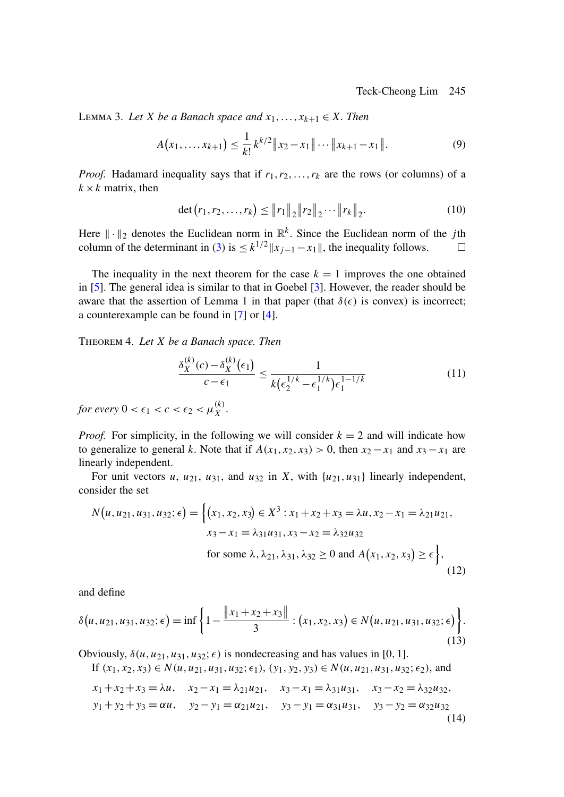<span id="page-2-0"></span>LEMMA 3. Let *X* be a Banach space and  $x_1, \ldots, x_{k+1} \in X$ . Then

$$
A(x_1, \ldots, x_{k+1}) \leq \frac{1}{k!} k^{k/2} \|x_2 - x_1\| \cdots \|x_{k+1} - x_1\|.
$$
 (9)

*Proof.* Hadamard inequality says that if  $r_1, r_2, \ldots, r_k$  are the rows (or columns) of a  $k \times k$  matrix, then

$$
\det(r_1, r_2, \dots, r_k) \le ||r_1||_2 ||r_2||_2 \cdots ||r_k||_2. \tag{10}
$$

Here  $\|\cdot\|_2$  denotes the Euclidean norm in  $\mathbb{R}^k$ . Since the Euclidean norm of the jth column of the determinant in [\(3\)](#page-0-0) is  $\leq k^{1/2} ||x_{j-1} - x_1||$ , the inequality follows.  $\Box$ 

The inequality in the next theorem for the case  $k = 1$  improves the one obtained in [\[5\]](#page-4-0). The general idea is similar to that in Goebel [\[3\]](#page-4-0). However, the reader should be aware that the assertion of Lemma 1 in that paper (that  $\delta(\epsilon)$  is convex) is incorrect; a counterexample can be found in [\[7\]](#page-4-0) or [\[4\]](#page-4-0).

Theorem 4. *Let* X *be a Banach space. Then*

$$
\frac{\delta_X^{(k)}(c) - \delta_X^{(k)}(\epsilon_1)}{c - \epsilon_1} \le \frac{1}{k(\epsilon_2^{1/k} - \epsilon_1^{1/k})\epsilon_1^{1-1/k}}\tag{11}
$$

*for every*  $0 < \epsilon_1 < c < \epsilon_2 < \mu_X^{(k)}$ .

*Proof.* For simplicity, in the following we will consider  $k = 2$  and will indicate how to generalize to general k. Note that if  $A(x_1, x_2, x_3) > 0$ , then  $x_2 - x_1$  and  $x_3 - x_1$  are linearly independent.

For unit vectors u,  $u_{21}$ ,  $u_{31}$ , and  $u_{32}$  in X, with  $\{u_{21}, u_{31}\}$  linearly independent, consider the set

$$
N(u, u_{21}, u_{31}, u_{32}; \epsilon) = \left\{ (x_1, x_2, x_3) \in X^3 : x_1 + x_2 + x_3 = \lambda u, x_2 - x_1 = \lambda_{21} u_{21},
$$
  
\n
$$
x_3 - x_1 = \lambda_{31} u_{31}, x_3 - x_2 = \lambda_{32} u_{32}
$$
  
\nfor some  $\lambda, \lambda_{21}, \lambda_{31}, \lambda_{32} \ge 0$  and  $A(x_1, x_2, x_3) \ge \epsilon \right\},$  (12)

and define

$$
\delta(u, u_{21}, u_{31}, u_{32}; \epsilon) = \inf \left\{ 1 - \frac{\|x_1 + x_2 + x_3\|}{3} : (x_1, x_2, x_3) \in N(u, u_{21}, u_{31}, u_{32}; \epsilon) \right\}.
$$
\n(13)

Obviously,  $\delta(u, u_{21}, u_{31}, u_{32}; \epsilon)$  is nondecreasing and has values in [0, 1].

If 
$$
(x_1, x_2, x_3) \in N(u, u_{21}, u_{31}, u_{32}; \epsilon_1)
$$
,  $(y_1, y_2, y_3) \in N(u, u_{21}, u_{31}, u_{32}; \epsilon_2)$ , and  
\n $x_1 + x_2 + x_3 = \lambda u$ ,  $x_2 - x_1 = \lambda_{21}u_{21}$ ,  $x_3 - x_1 = \lambda_{31}u_{31}$ ,  $x_3 - x_2 = \lambda_{32}u_{32}$ ,  
\n $y_1 + y_2 + y_3 = \alpha u$ ,  $y_2 - y_1 = \alpha_{21}u_{21}$ ,  $y_3 - y_1 = \alpha_{31}u_{31}$ ,  $y_3 - y_2 = \alpha_{32}u_{32}$   
\n(14)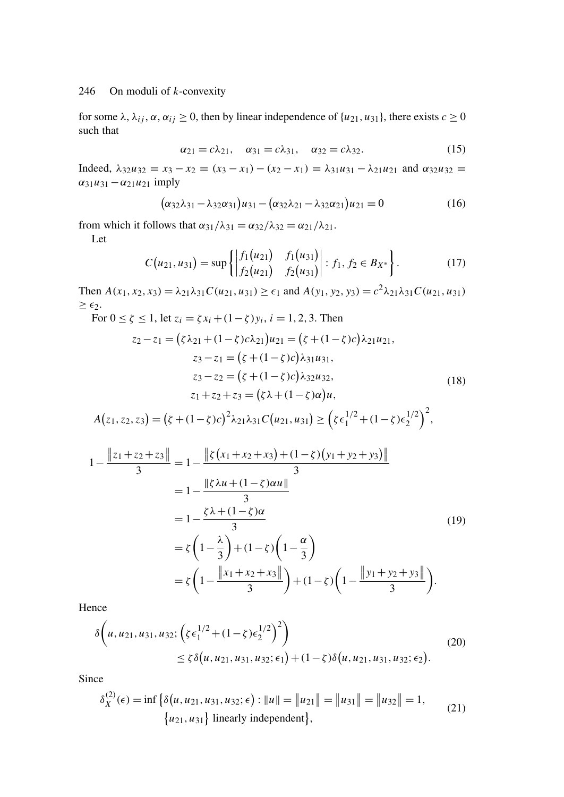### 246 On moduli of  $k$ -convexity

for some  $\lambda$ ,  $\lambda_{ij}$ ,  $\alpha$ ,  $\alpha_{ij} \ge 0$ , then by linear independence of  $\{u_{21}, u_{31}\}$ , there exists  $c \ge 0$ such that

$$
\alpha_{21} = c\lambda_{21}, \quad \alpha_{31} = c\lambda_{31}, \quad \alpha_{32} = c\lambda_{32}.
$$
 (15)

Indeed,  $\lambda_{32}u_{32} = x_3 - x_2 = (x_3 - x_1) - (x_2 - x_1) = \lambda_{31}u_{31} - \lambda_{21}u_{21}$  and  $\alpha_{32}u_{32} =$  $\alpha_{31}u_{31} - \alpha_{21}u_{21}$  imply

$$
(\alpha_{32}\lambda_{31} - \lambda_{32}\alpha_{31})u_{31} - (\alpha_{32}\lambda_{21} - \lambda_{32}\alpha_{21})u_{21} = 0 \tag{16}
$$

from which it follows that  $\alpha_{31}/\lambda_{31} = \alpha_{32}/\lambda_{32} = \alpha_{21}/\lambda_{21}$ .

Let

$$
C(u_{21}, u_{31}) = \sup \left\{ \begin{vmatrix} f_1(u_{21}) & f_1(u_{31}) \\ f_2(u_{21}) & f_2(u_{31}) \end{vmatrix} : f_1, f_2 \in B_{X^*} \right\}.
$$
 (17)

Then  $A(x_1, x_2, x_3) = \lambda_{21}\lambda_{31}C(u_{21}, u_{31}) \ge \epsilon_1$  and  $A(y_1, y_2, y_3) = c^2\lambda_{21}\lambda_{31}C(u_{21}, u_{31})$  $\geq \epsilon_2$ .

For  $0 \le \zeta \le 1$ , let  $z_i = \zeta x_i + (1 - \zeta) y_i$ ,  $i = 1, 2, 3$ . Then

$$
z_2 - z_1 = (\zeta \lambda_{21} + (1 - \zeta)c\lambda_{21})u_{21} = (\zeta + (1 - \zeta)c)\lambda_{21}u_{21},
$$
  
\n
$$
z_3 - z_1 = (\zeta + (1 - \zeta)c)\lambda_{31}u_{31},
$$
  
\n
$$
z_3 - z_2 = (\zeta + (1 - \zeta)c)\lambda_{32}u_{32},
$$
  
\n
$$
z_1 + z_2 + z_3 = (\zeta \lambda + (1 - \zeta)\alpha)u,
$$
\n(18)

$$
A(z_1, z_2, z_3) = (\zeta + (1 - \zeta)c)^2 \lambda_{21} \lambda_{31} C(u_{21}, u_{31}) \ge (\zeta \epsilon_1^{1/2} + (1 - \zeta)\epsilon_2^{1/2})^2,
$$

$$
1 - \frac{\|z_1 + z_2 + z_3\|}{3} = 1 - \frac{\|\zeta(x_1 + x_2 + x_3) + (1 - \zeta)(y_1 + y_2 + y_3)\|}{3}
$$
  
=  $1 - \frac{\|\zeta\lambda u + (1 - \zeta)\alpha u\|}{3}$   
=  $1 - \frac{\zeta\lambda + (1 - \zeta)\alpha}{3}$   
=  $\zeta\left(1 - \frac{\lambda}{3}\right) + (1 - \zeta)\left(1 - \frac{\alpha}{3}\right)$   
=  $\zeta\left(1 - \frac{\|x_1 + x_2 + x_3\|}{3}\right) + (1 - \zeta)\left(1 - \frac{\|y_1 + y_2 + y_3\|}{3}\right).$  (19)

Hence

$$
\delta\bigg(u, u_{21}, u_{31}, u_{32}; \left(\zeta \epsilon_1^{1/2} + (1 - \zeta) \epsilon_2^{1/2}\right)^2\bigg) \leq \zeta \delta\big(u, u_{21}, u_{31}, u_{32}; \epsilon_1\bigg) + (1 - \zeta) \delta\big(u, u_{21}, u_{31}, u_{32}; \epsilon_2\big).
$$
\n(20)

Since

$$
\delta_X^{(2)}(\epsilon) = \inf \left\{ \delta(u, u_{21}, u_{31}, u_{32}; \epsilon) : ||u|| = ||u_{21}|| = ||u_{31}|| = ||u_{32}|| = 1, \right\}
$$
  

$$
\left\{ u_{21}, u_{31} \right\} \text{ linearly independent} \right\},
$$
 (21)